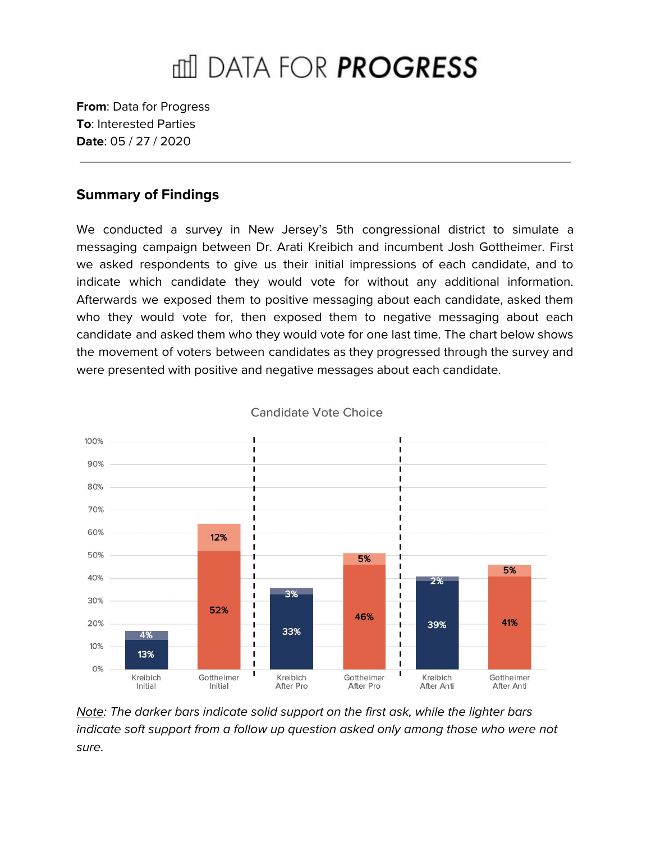# mil DATA FOR **PROGRESS**

**From**: Data for Progress **To**: Interested Parties **Date**: 05 / 27 / 2020

#### **Summary of Findings**

We conducted a survey in New Jersey's 5th congressional district to simulate a messaging campaign between Dr. Arati Kreibich and incumbent Josh Gottheimer. First we asked respondents to give us their initial impressions of each candidate, and to indicate which candidate they would vote for without any additional information. Afterwards we exposed them to positive messaging about each candidate, asked them who they would vote for, then exposed them to negative messaging about each candidate and asked them who they would vote for one last time. The chart below shows the movement of voters between candidates as they progressed through the survey and were presented with positive and negative messages about each candidate.



Candidate Vote Choice

Note: The darker bars indicate solid support on the first ask, while the lighter bars indicate soft support from a follow up question asked only among those who were not sure.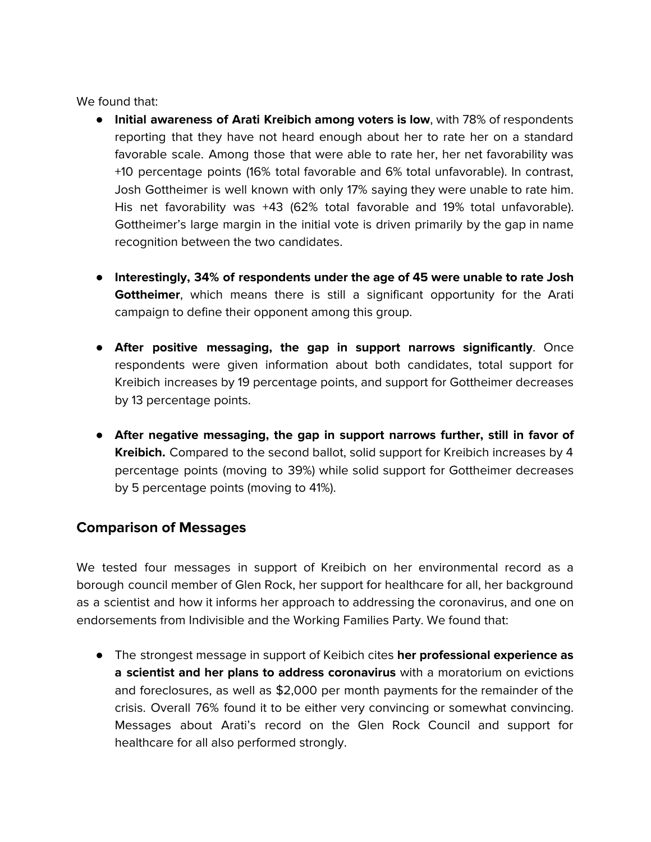We found that:

- **Initial awareness of Arati Kreibich among voters is low**, with 78% of respondents reporting that they have not heard enough about her to rate her on a standard favorable scale. Among those that were able to rate her, her net favorability was +10 percentage points (16% total favorable and 6% total unfavorable). In contrast, Josh Gottheimer is well known with only 17% saying they were unable to rate him. His net favorability was +43 (62% total favorable and 19% total unfavorable). Gottheimer's large margin in the initial vote is driven primarily by the gap in name recognition between the two candidates.
- **Interestingly, 34% of respondents under the age of 45 were unable to rate Josh Gottheimer**, which means there is still a significant opportunity for the Arati campaign to define their opponent among this group.
- **After positive messaging, the gap in support narrows significantly**. Once respondents were given information about both candidates, total support for Kreibich increases by 19 percentage points, and support for Gottheimer decreases by 13 percentage points.
- **● After negative messaging, the gap in support narrows further, still in favor of Kreibich.** Compared to the second ballot, solid support for Kreibich increases by 4 percentage points (moving to 39%) while solid support for Gottheimer decreases by 5 percentage points (moving to 41%).

### **Comparison of Messages**

We tested four messages in support of Kreibich on her environmental record as a borough council member of Glen Rock, her support for healthcare for all, her background as a scientist and how it informs her approach to addressing the coronavirus, and one on endorsements from Indivisible and the Working Families Party. We found that:

● The strongest message in support of Keibich cites **her professional experience as a scientist and her plans to address coronavirus** with a moratorium on evictions and foreclosures, as well as \$2,000 per month payments for the remainder of the crisis. Overall 76% found it to be either very convincing or somewhat convincing. Messages about Arati's record on the Glen Rock Council and support for healthcare for all also performed strongly.